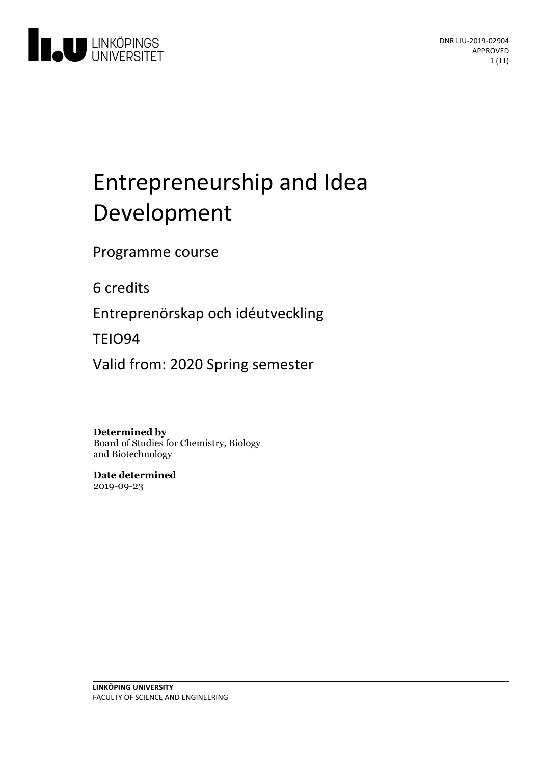

# Entrepreneurship and Idea Development

Programme course

6 credits

Entreprenörskap och idéutveckling

TEIO94

Valid from: 2020 Spring semester

**Determined by**

Board of Studies for Chemistry, Biology and Biotechnology

**Date determined** 2019-09-23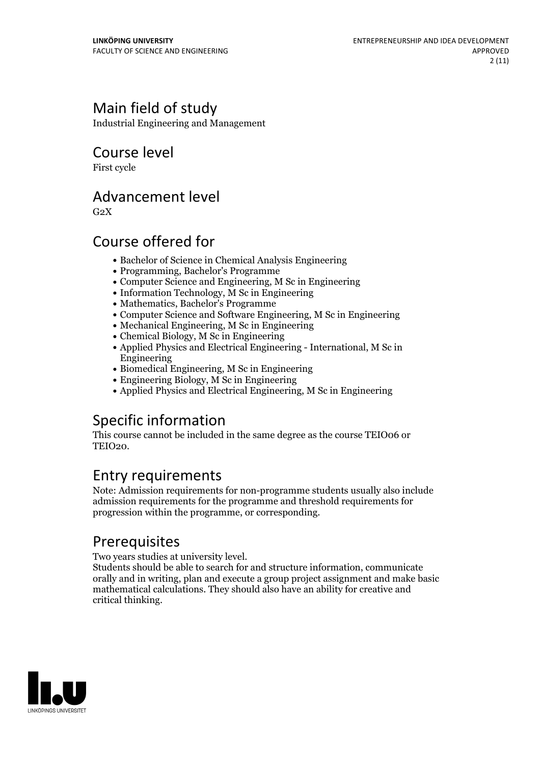### Main field of study

Industrial Engineering and Management

Course level

First cycle

### Advancement level

 $G<sub>2</sub>X$ 

### Course offered for

- Bachelor of Science in Chemical Analysis Engineering
- Programming, Bachelor's Programme
- Computer Science and Engineering, M Sc in Engineering
- $\bullet$  Information Technology,  $\overline{M}$  Sc in Engineering
- Mathematics, Bachelor's Programme
- Computer Science and Software Engineering, M Sc in Engineering
- Mechanical Engineering, M Sc in Engineering
- Chemical Biology, M Sc in Engineering
- Applied Physics and Electrical Engineering International, M Sc in Engineering
- Biomedical Engineering, M Sc in Engineering
- Engineering Biology, M Sc in Engineering
- Applied Physics and Electrical Engineering, M Sc in Engineering

## Specific information

This course cannot be included in the same degree as the course TEIO06 or TEIO<sub>20</sub>.

### Entry requirements

Note: Admission requirements for non-programme students usually also include admission requirements for the programme and threshold requirements for progression within the programme, or corresponding.

**Prerequisites**<br>Two years studies at university level.

Students should be able to search for and structure information, communicate orally and in writing, plan and execute a group project assignment and make basic mathematical calculations. They should also have an ability for creative and critical thinking.

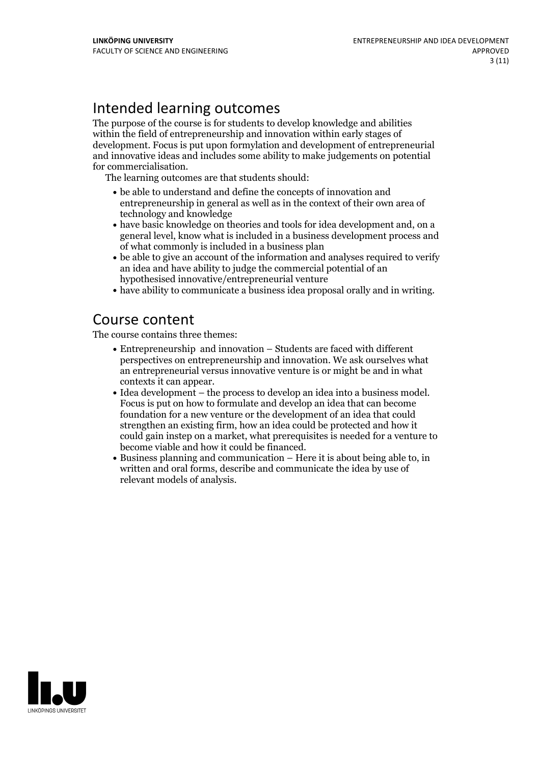### Intended learning outcomes

The purpose of the course is for students to develop knowledge and abilities within the field of entrepreneurship and innovation within early stages of development. Focus is put upon formylation and development of entrepreneurial and innovative ideas and includes some ability to make judgements on potential for commercialisation. The learning outcomes are that students should:

- be able to understand and define the concepts of innovation and entrepreneurship in general as well as in the context of their own area of technology and knowledge
- have basic knowledge on theories and tools for idea development and, on a general level, know what is included in a business development process and of what commonly is included in a business plan
- be able to give an account of the information and analyses required to verify an idea and have ability to judge the commercial potential of an hypothesised innovative/entrepreneurial venture
- have ability to communicate a business idea proposal orally and in writing.

### Course content

The course contains three themes:

- Entrepreneurship and innovation Students are faced with different perspectives on entrepreneurship and innovation. We ask ourselves what an entrepreneurial versus innovative venture is or might be and in what
- contexts it can appear. Idea development the process to develop an idea into <sup>a</sup> business model. Focus is put on how to formulate and develop an idea that can become foundation for a new venture or the development of an idea that could strengthen an existing firm, how an idea could be protected and how it could gain instep on a market, what prerequisites is needed for a venture to
- $\bullet$  Business planning and communication Here it is about being able to, in written and oral forms, describe and communicate the idea by use of relevant models of analysis.

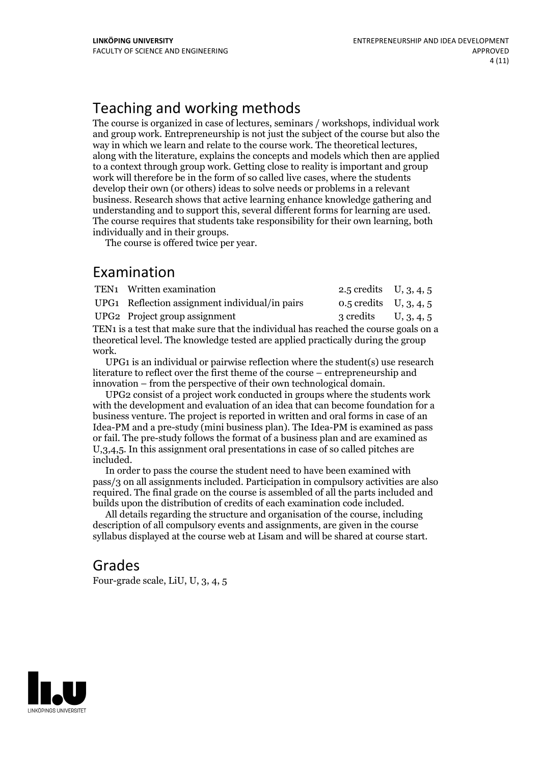### Teaching and working methods

The course is organized in case of lectures, seminars / workshops, individual work and group work. Entrepreneurship is not just the subject of the course but also the way in which we learn and relate to the course work. The theoretical lectures, along with the literature, explains the concepts and models which then are applied to a context through group work. Getting close to reality is important and group work will therefore be in the form of so called live cases, where the students develop their own (or others) ideas to solve needs or problems in a relevant business. Research shows that active learning enhance knowledge gathering and understanding and to support this, several different forms for learning are used. The course requires that students take responsibility for their own learning, both

The course is offered twice per year.

### Examination

|                                                                                     | TEN1 Written examination                       | 2.5 credits $U, 3, 4, 5$ |  |
|-------------------------------------------------------------------------------------|------------------------------------------------|--------------------------|--|
|                                                                                     | UPG1 Reflection assignment individual/in pairs | 0.5 credits $U, 3, 4, 5$ |  |
|                                                                                     | UPG2 Project group assignment                  | 3 credits $U, 3, 4, 5$   |  |
| TEN1 is a test that make sure that the individual has reached the course goals on a |                                                |                          |  |

TEN1 is a test that make sure that the individual has reached the course goals on a theoretical level. The knowledge tested are applied practically during the group work. UPG1 is an individual or pairwise reflection where the student(s) use research

literature to reflect over the first theme of the course – entrepreneurship and

innovation – from the perspective of their own technological domain.<br>UPG2 consist of a project work conducted in groups where the students work with the development and evaluation of an idea that can become foundation for a business venture. The project is reported in written and oral forms in case ofan Idea-PM and a pre-study (mini business plan). The Idea-PM is examined as pass or fail. The pre-study follows the format of a business plan and are examined as  $U$ ,3,4,5. In this assignment oral presentations in case of so called pitches are included. In order to pass the course the student need to have been examined with

pass/3 on all assignments included. Participation in compulsory activities are also required. The final grade on the course is assembled of all the parts included and builds upon the distribution of credits of each examination code included. All details regarding the structure and organisation of the course, including

description of all compulsory events and assignments, are given in the course syllabus displayed at the course web at Lisam and will be shared at course start.

### Grades

Four-grade scale, LiU, U, 3, 4, 5

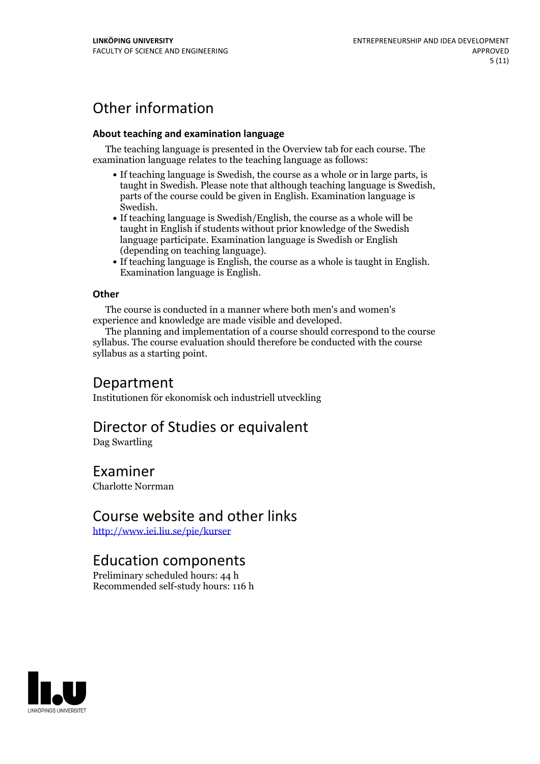### Other information

#### **About teaching and examination language**

The teaching language is presented in the Overview tab for each course. The examination language relates to the teaching language as follows:

- If teaching language is Swedish, the course as a whole or in large parts, is taught in Swedish. Please note that although teaching language is Swedish, parts of the course could be given in English. Examination language is
- Swedish.<br>• If teaching language is Swedish/English, the course as a whole will be taught in English if students without prior knowledge of the Swedish language participate. Examination language is Swedish or English
- (depending on teaching language).<br>
 If teaching language is English, the course as a whole is taught in English.<br>
Examination language is English.

#### **Other**

The course is conducted in a manner where both men's and women's

experience and knowledge are made visible and developed. The planning and implementation of <sup>a</sup> course should correspond to the course syllabus. The course evaluation should therefore be conducted with the course syllabus as a starting point.

### Department

Institutionen för ekonomisk och industriell utveckling

### Director of Studies or equivalent

Dag Swartling

### Examiner

Charlotte Norrman

### Course website and other links

<http://www.iei.liu.se/pie/kurser>

### Education components

Preliminary scheduled hours: 44 h Recommended self-study hours: 116 h

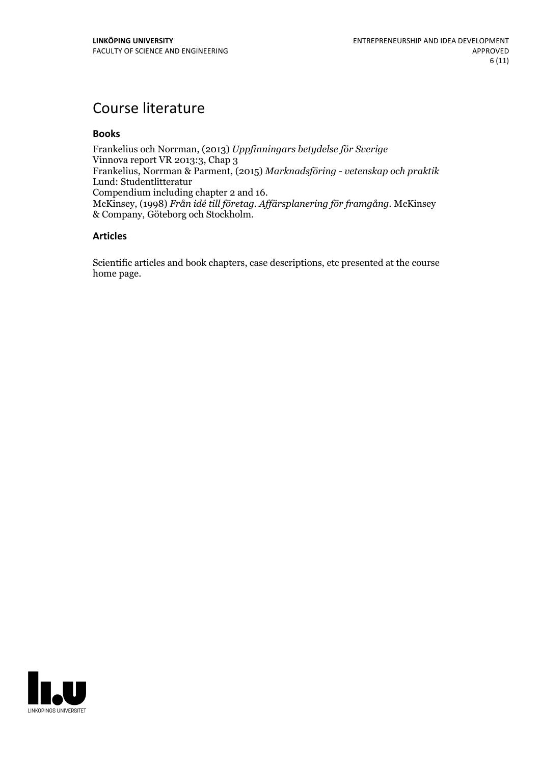### Course literature

#### **Books**

Frankelius och Norrman, (2013) *Uppfinningars betydelse för Sverige* Vinnova report VR 2013:3, Chap 3 Frankelius, Norrman & Parment, (2015) *Marknadsföring - vetenskap och praktik* Lund: Studentlitteratur<br>Compendium including chapter 2 and 16. Compendium including chapter <sup>2</sup> and 16. McKinsey, (1998) *Från idé till företag. Af ärsplanering för framgång.* McKinsey & Company, Göteborg och Stockholm.

#### **Articles**

Scientific articles and book chapters, case descriptions, etc presented at the course home page.

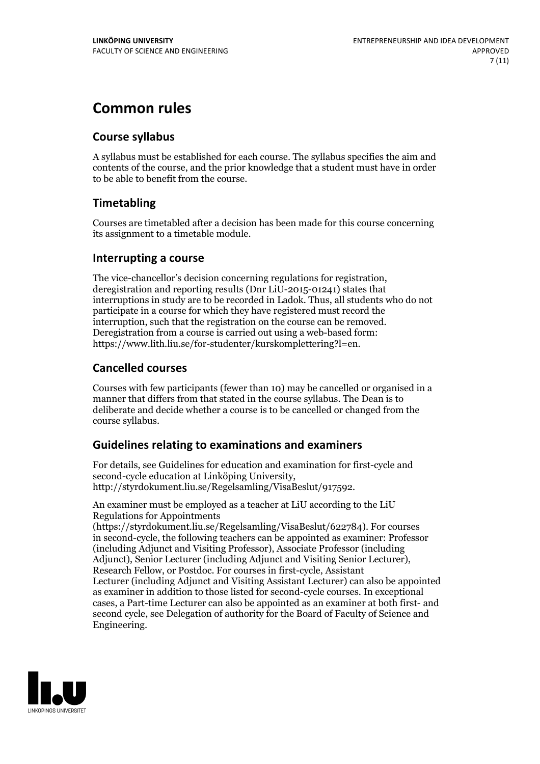### **Common rules**

#### **Course syllabus**

A syllabus must be established for each course. The syllabus specifies the aim and contents of the course, and the prior knowledge that a student must have in order to be able to benefit from the course.

### **Timetabling**

Courses are timetabled after a decision has been made for this course concerning its assignment to a timetable module.

#### **Interrupting a course**

The vice-chancellor's decision concerning regulations for registration, deregistration and reporting results (Dnr LiU-2015-01241) states that interruptions in study are to be recorded in Ladok. Thus, all students who do not participate in a course for which they have registered must record the interruption, such that the registration on the course can be removed. Deregistration from <sup>a</sup> course is carried outusing <sup>a</sup> web-based form: https://www.lith.liu.se/for-studenter/kurskomplettering?l=en.

### **Cancelled courses**

Courses with few participants (fewer than 10) may be cancelled or organised in a manner that differs from that stated in the course syllabus. The Dean is to deliberate and decide whether a course is to be cancelled or changed from the course syllabus.

### **Guidelines relatingto examinations and examiners**

For details, see Guidelines for education and examination for first-cycle and second-cycle education at Linköping University, http://styrdokument.liu.se/Regelsamling/VisaBeslut/917592.

An examiner must be employed as a teacher at LiU according to the LiU Regulations for Appointments

(https://styrdokument.liu.se/Regelsamling/VisaBeslut/622784). For courses in second-cycle, the following teachers can be appointed as examiner: Professor (including Adjunct and Visiting Professor), Associate Professor (including Adjunct), Senior Lecturer (including Adjunct and Visiting Senior Lecturer), Research Fellow, or Postdoc. For courses in first-cycle, Assistant Lecturer (including Adjunct and Visiting Assistant Lecturer) can also be appointed as examiner in addition to those listed for second-cycle courses. In exceptional cases, a Part-time Lecturer can also be appointed as an examiner at both first- and second cycle, see Delegation of authority for the Board of Faculty of Science and Engineering.

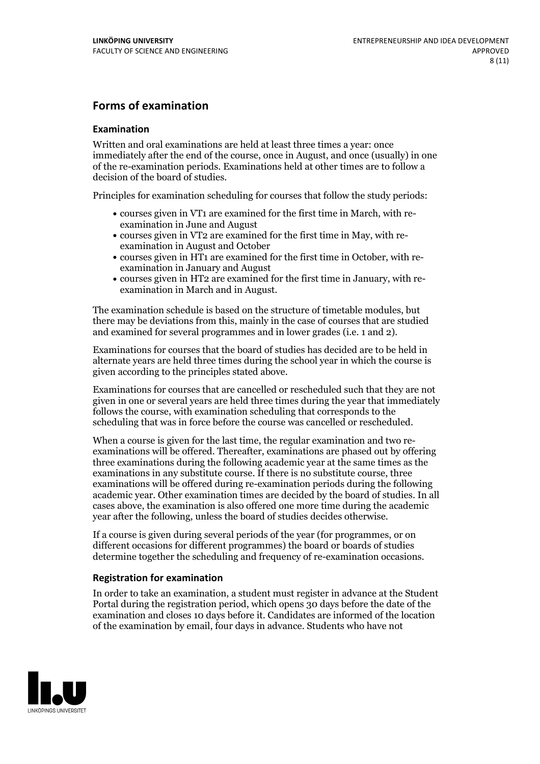#### **Forms of examination**

#### **Examination**

Written and oral examinations are held at least three times a year: once immediately after the end of the course, once in August, and once (usually) in one of the re-examination periods. Examinations held at other times are to follow a decision of the board of studies.

Principles for examination scheduling for courses that follow the study periods:

- courses given in VT1 are examined for the first time in March, with re-examination in June and August
- courses given in VT2 are examined for the first time in May, with re-examination in August and October
- courses given in HT1 are examined for the first time in October, with re-examination in January and August
- courses given in HT2 are examined for the first time in January, with re-examination in March and in August.

The examination schedule is based on the structure of timetable modules, but there may be deviations from this, mainly in the case of courses that are studied and examined for several programmes and in lower grades (i.e. 1 and 2).

Examinations for courses that the board of studies has decided are to be held in alternate years are held three times during the school year in which the course is given according to the principles stated above.

Examinations for courses that are cancelled orrescheduled such that they are not given in one or several years are held three times during the year that immediately follows the course, with examination scheduling that corresponds to the scheduling that was in force before the course was cancelled or rescheduled.

When a course is given for the last time, the regular examination and two re-<br>examinations will be offered. Thereafter, examinations are phased out by offering three examinations during the following academic year at the same times as the examinations in any substitute course. If there is no substitute course, three examinations will be offered during re-examination periods during the following academic year. Other examination times are decided by the board of studies. In all cases above, the examination is also offered one more time during the academic year after the following, unless the board of studies decides otherwise.

If a course is given during several periods of the year (for programmes, or on different occasions for different programmes) the board or boards of studies determine together the scheduling and frequency of re-examination occasions.

#### **Registration for examination**

In order to take an examination, a student must register in advance at the Student Portal during the registration period, which opens 30 days before the date of the examination and closes 10 days before it. Candidates are informed of the location of the examination by email, four days in advance. Students who have not

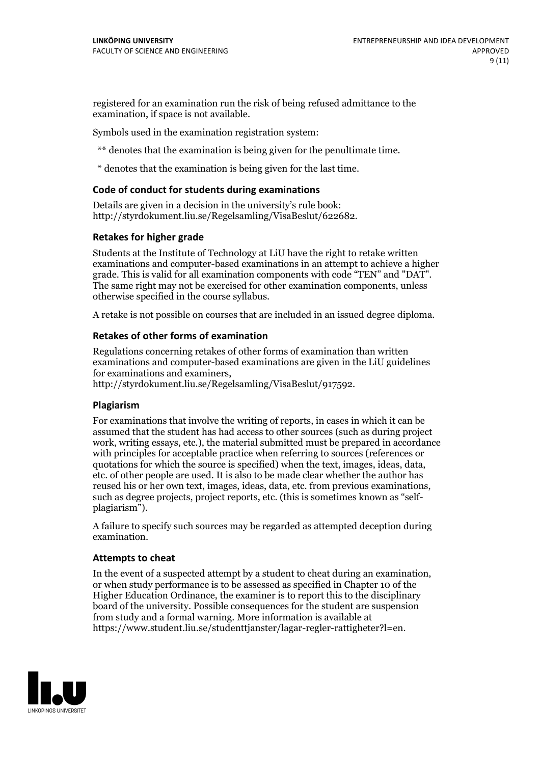registered for an examination run the risk of being refused admittance to the examination, if space is not available.

Symbols used in the examination registration system:

\*\* denotes that the examination is being given for the penultimate time.

\* denotes that the examination is being given for the last time.

#### **Code of conduct for students during examinations**

Details are given in a decision in the university's rule book: http://styrdokument.liu.se/Regelsamling/VisaBeslut/622682.

#### **Retakes for higher grade**

Students at the Institute of Technology at LiU have the right to retake written examinations and computer-based examinations in an attempt to achieve a higher grade. This is valid for all examination components with code "TEN" and "DAT". The same right may not be exercised for other examination components, unless otherwise specified in the course syllabus.

A retake is not possible on courses that are included in an issued degree diploma.

#### **Retakes of other forms of examination**

Regulations concerning retakes of other forms of examination than written examinations and computer-based examinations are given in the LiU guidelines

http://styrdokument.liu.se/Regelsamling/VisaBeslut/917592.

#### **Plagiarism**

For examinations that involve the writing of reports, in cases in which it can be assumed that the student has had access to other sources (such as during project work, writing essays, etc.), the material submitted must be prepared in accordance with principles for acceptable practice when referring to sources (references or quotations for which the source is specified) when the text, images, ideas, data,  $\vec{e}$  etc. of other people are used. It is also to be made clear whether the author has reused his or her own text, images, ideas, data, etc. from previous examinations, such as degree projects, project reports, etc. (this is sometimes known as "self- plagiarism").

A failure to specify such sources may be regarded as attempted deception during examination.

#### **Attempts to cheat**

In the event of <sup>a</sup> suspected attempt by <sup>a</sup> student to cheat during an examination, or when study performance is to be assessed as specified in Chapter <sup>10</sup> of the Higher Education Ordinance, the examiner is to report this to the disciplinary board of the university. Possible consequences for the student are suspension from study and a formal warning. More information is available at https://www.student.liu.se/studenttjanster/lagar-regler-rattigheter?l=en.

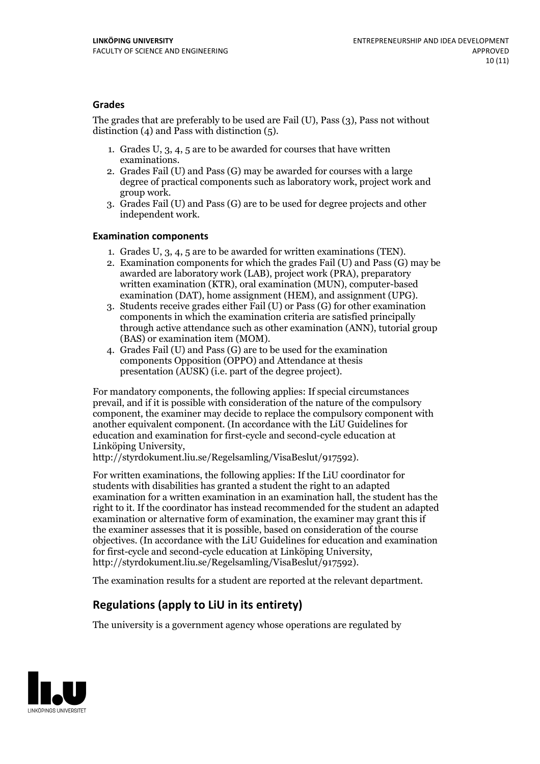#### **Grades**

The grades that are preferably to be used are Fail (U), Pass (3), Pass not without distinction  $(4)$  and Pass with distinction  $(5)$ .

- 1. Grades U, 3, 4, 5 are to be awarded for courses that have written
- examinations. 2. Grades Fail (U) and Pass (G) may be awarded for courses with <sup>a</sup> large degree of practical components such as laboratory work, project work and group work. 3. Grades Fail (U) and Pass (G) are to be used for degree projects and other
- independent work.

#### **Examination components**

- 
- 1. Grades U, 3, 4, <sup>5</sup> are to be awarded for written examinations (TEN). 2. Examination components for which the grades Fail (U) and Pass (G) may be awarded are laboratory work (LAB), project work (PRA), preparatory written examination (KTR), oral examination (MUN), computer-based
- examination (DAT), home assignment (HEM), and assignment (UPG). 3. Students receive grades either Fail (U) or Pass (G) for other examination components in which the examination criteria are satisfied principally through active attendance such as other examination (ANN), tutorial group
- (BAS) or examination item (MOM). 4. Grades Fail (U) and Pass (G) are to be used for the examination components Opposition (OPPO) and Attendance at thesis presentation (AUSK) (i.e. part of the degree project).

For mandatory components, the following applies: If special circumstances prevail, and if it is possible with consideration of the nature of the compulsory component, the examiner may decide to replace the compulsory component with another equivalent component. (In accordance with the LiU Guidelines for education and examination for first-cycle and second-cycle education at Linköping University, http://styrdokument.liu.se/Regelsamling/VisaBeslut/917592).

For written examinations, the following applies: If the LiU coordinator for students with disabilities has granted a student the right to an adapted examination for a written examination in an examination hall, the student has the right to it. If the coordinator has instead recommended for the student an adapted examination or alternative form of examination, the examiner may grant this if the examiner assesses that it is possible, based on consideration of the course objectives. (In accordance with the LiU Guidelines for education and examination for first-cycle and second-cycle education at Linköping University, http://styrdokument.liu.se/Regelsamling/VisaBeslut/917592).

The examination results for a student are reported at the relevant department.

### **Regulations (applyto LiU in its entirety)**

The university is a government agency whose operations are regulated by